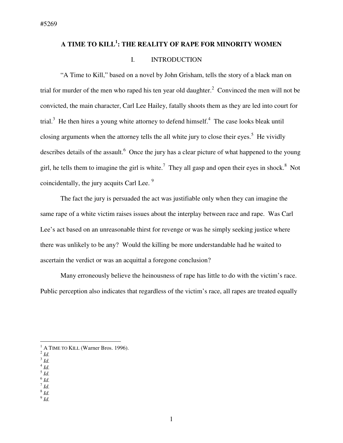# **A TIME TO KILL<sup>1</sup> : THE REALITY OF RAPE FOR MINORITY WOMEN**

## I. INTRODUCTION

"A Time to Kill," based on a novel by John Grisham, tells the story of a black man on trial for murder of the men who raped his ten year old daughter.<sup>2</sup> Convinced the men will not be convicted, the main character, Carl Lee Hailey, fatally shoots them as they are led into court for trial.<sup>3</sup> He then hires a young white attorney to defend himself.<sup>4</sup> The case looks bleak until closing arguments when the attorney tells the all white jury to close their eyes.<sup>5</sup> He vividly describes details of the assault.<sup>6</sup> Once the jury has a clear picture of what happened to the young girl, he tells them to imagine the girl is white.<sup>7</sup> They all gasp and open their eyes in shock.<sup>8</sup> Not coincidentally, the jury acquits Carl Lee.<sup>9</sup>

The fact the jury is persuaded the act was justifiable only when they can imagine the same rape of a white victim raises issues about the interplay between race and rape. Was Carl Lee's act based on an unreasonable thirst for revenge or was he simply seeking justice where there was unlikely to be any? Would the killing be more understandable had he waited to ascertain the verdict or was an acquittal a foregone conclusion?

Many erroneously believe the heinousness of rape has little to do with the victim's race. Public perception also indicates that regardless of the victim's race, all rapes are treated equally

- $\rm ^4$  *Id.*
- 5 *Id.*  6 *Id.*
- 7 *Id.*
- 8 *Id.*
- 9 *Id.*

<sup>&</sup>lt;sup>1</sup> A TIME TO KILL (Warner Bros. 1996).

 $^2$  *Id.* 

<sup>3</sup> *Id.*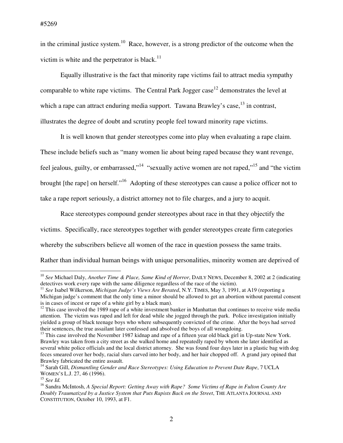in the criminal justice system.<sup>10</sup> Race, however, is a strong predictor of the outcome when the victim is white and the perpetrator is black. $11$ 

Equally illustrative is the fact that minority rape victims fail to attract media sympathy comparable to white rape victims. The Central Park Jogger case<sup>12</sup> demonstrates the level at which a rape can attract enduring media support. Tawana Brawley's case,  $^{13}$  in contrast, illustrates the degree of doubt and scrutiny people feel toward minority rape victims.

It is well known that gender stereotypes come into play when evaluating a rape claim.

These include beliefs such as "many women lie about being raped because they want revenge,

feel jealous, guilty, or embarrassed,"<sup>14</sup> "sexually active women are not raped,"<sup>15</sup> and "the victim

brought [the rape] on herself."<sup>16</sup> Adopting of these stereotypes can cause a police officer not to

take a rape report seriously, a district attorney not to file charges, and a jury to acquit.

Race stereotypes compound gender stereotypes about race in that they objectify the

victims. Specifically, race stereotypes together with gender stereotypes create firm categories

whereby the subscribers believe all women of the race in question possess the same traits.

Rather than individual human beings with unique personalities, minority women are deprived of

<sup>10</sup> *See* Michael Daly, *Another Time & Place, Same Kind of Horror*, DAILY NEWS, December 8, 2002 at 2 (indicating detectives work every rape with the same diligence regardless of the race of the victim).

<sup>11</sup> *See* Isabel Wilkerson, *Michigan Judge's Views Are Berated*, N.Y. TIMES, May 3, 1991, at A19 (reporting a Michigan judge's comment that the only time a minor should be allowed to get an abortion without parental consent is in cases of incest or rape of a white girl by a black man).

 $12$  This case involved the 1989 rape of a white investment banker in Manhattan that continues to receive wide media attention. The victim was raped and left for dead while she jogged through the park. Police investigation initially yielded a group of black teenage boys who where subsequently convicted of the crime. After the boys had served their sentences, the true assailant later confessed and absolved the boys of all wrongdoing.

<sup>&</sup>lt;sup>13</sup> This case involved the November 1987 kidnap and rape of a fifteen year old black girl in Up-state New York. Brawley was taken from a city street as she walked home and repeatedly raped by whom she later identified as several white police officials and the local district attorney. She was found four days later in a plastic bag with dog feces smeared over her body, racial slurs carved into her body, and her hair chopped off. A grand jury opined that Brawley fabricated the entire assault.

<sup>&</sup>lt;sup>14</sup> Sarah Gill, *Dismantling Gender and Race Stereotypes: Using Education to Prevent Date Rape*, 7 UCLA WOMEN'S L.J. 27, 46 (1996).

<sup>15</sup> *See Id.* 

<sup>16</sup> Sandra McIntosh, *A Special Report: Getting Away with Rape? Some Victims of Rape in Fulton County Are Doubly Traumatized by a Justice System that Puts Rapists Back on the Street*, THE ATLANTA JOURNAL AND CONSTITUTION, October 10, 1993, at F1.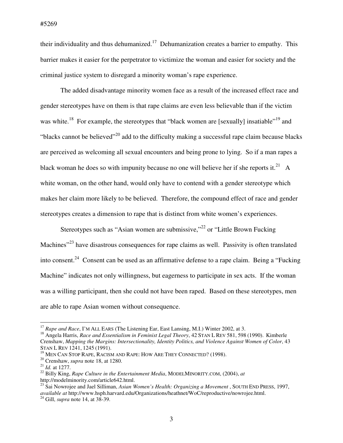their individuality and thus dehumanized.<sup>17</sup> Dehumanization creates a barrier to empathy. This barrier makes it easier for the perpetrator to victimize the woman and easier for society and the criminal justice system to disregard a minority woman's rape experience.

The added disadvantage minority women face as a result of the increased effect race and gender stereotypes have on them is that rape claims are even less believable than if the victim was white.<sup>18</sup> For example, the stereotypes that "black women are [sexually] insatiable"<sup>19</sup> and "blacks cannot be believed"<sup>20</sup> add to the difficulty making a successful rape claim because blacks are perceived as welcoming all sexual encounters and being prone to lying. So if a man rapes a black woman he does so with impunity because no one will believe her if she reports it.<sup>21</sup> A white woman, on the other hand, would only have to contend with a gender stereotype which makes her claim more likely to be believed. Therefore, the compound effect of race and gender stereotypes creates a dimension to rape that is distinct from white women's experiences.

Stereotypes such as "Asian women are submissive,"<sup>22</sup> or "Little Brown Fucking" Machines<sup>"23</sup> have disastrous consequences for rape claims as well. Passivity is often translated into consent.<sup>24</sup> Consent can be used as an affirmative defense to a rape claim. Being a "Fucking" Machine" indicates not only willingness, but eagerness to participate in sex acts. If the woman was a willing participant, then she could not have been raped. Based on these stereotypes, men are able to rape Asian women without consequence.

<sup>&</sup>lt;sup>17</sup> Rape and Race, I'M ALL EARS (The Listening Ear, East Lansing, M.I.) Winter 2002, at 3.

<sup>18</sup> Angela Harris, *Race and Essentialism in Feminist Legal Theory*, 42 STAN L REV 581, 598 (1990). Kimberle Crenshaw, *Mapping the Margins: Intersectionality, Identity Politics, and Violence Against Women of Color*, 43 STAN L REV 1241, 1245 (1991).

<sup>&</sup>lt;sup>19</sup> MEN CAN STOP RAPE, RACISM AND RAPE: HOW ARE THEY CONNECTED? (1998).

<sup>20</sup> Crenshaw, *supra* note 18, at 1280.

<sup>21</sup> *Id.* at 1277.

<sup>22</sup> Billy King, *Rape Culture in the Entertainment Media*, MODELMINORITY.COM, (2004), *at* http://modelminority.com/article642.html.

<sup>23</sup> Sai Nowrojee and Jael Silliman, *Asian Women's Health: Organizing a Movement* , SOUTH END PRESS, 1997, *available at* http://www.hsph.harvard.edu/Organizations/heathnet/WoC/reproductive/nowrojee.html.

<sup>24</sup> Gill, *supra* note 14, at 38-39.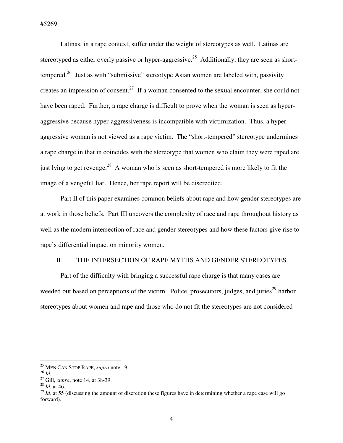Latinas, in a rape context, suffer under the weight of stereotypes as well. Latinas are stereotyped as either overly passive or hyper-aggressive.<sup>25</sup> Additionally, they are seen as shorttempered.<sup>26</sup> Just as with "submissive" stereotype Asian women are labeled with, passivity creates an impression of consent.<sup>27</sup> If a woman consented to the sexual encounter, she could not have been raped. Further, a rape charge is difficult to prove when the woman is seen as hyperaggressive because hyper-aggressiveness is incompatible with victimization. Thus, a hyperaggressive woman is not viewed as a rape victim. The "short-tempered" stereotype undermines a rape charge in that in coincides with the stereotype that women who claim they were raped are just lying to get revenge.<sup>28</sup> A woman who is seen as short-tempered is more likely to fit the image of a vengeful liar. Hence, her rape report will be discredited.

Part II of this paper examines common beliefs about rape and how gender stereotypes are at work in those beliefs. Part III uncovers the complexity of race and rape throughout history as well as the modern intersection of race and gender stereotypes and how these factors give rise to rape's differential impact on minority women.

## II. THE INTERSECTION OF RAPE MYTHS AND GENDER STEREOTYPES

Part of the difficulty with bringing a successful rape charge is that many cases are weeded out based on perceptions of the victim. Police, prosecutors, judges, and juries<sup>29</sup> harbor stereotypes about women and rape and those who do not fit the stereotypes are not considered

<sup>25</sup> MEN CAN STOP RAPE, *supra* note 19.

<sup>26</sup> *Id.*

<sup>27</sup> Gill, *supra*, note 14, at 38-39.

<sup>28</sup> *Id.* at 46.

 $^{29}$  *Id.* at 55 (discussing the amount of discretion these figures have in determining whether a rape case will go forward).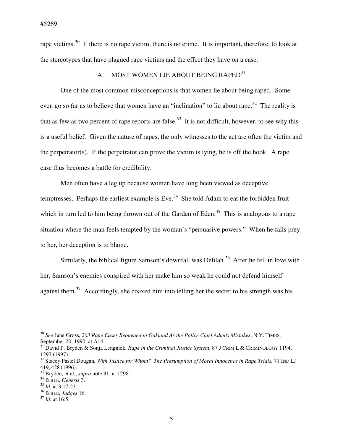rape victims.<sup>30</sup> If there is no rape victim, there is no crime. It is important, therefore, to look at the stereotypes that have plagued rape victims and the effect they have on a case.

## A. MOST WOMEN LIE ABOUT BEING RAPED<sup>31</sup>

One of the most common misconceptions is that women lie about being raped. Some even go so far as to believe that women have an "inclination" to lie about rape.<sup>32</sup> The reality is that as few as two percent of rape reports are false.<sup>33</sup> It is not difficult, however, to see why this is a useful belief. Given the nature of rapes, the only witnesses to the act are often the victim and the perpetrator(s). If the perpetrator can prove the victim is lying, he is off the hook. A rape case thus becomes a battle for credibility.

Men often have a leg up because women have long been viewed as deceptive temptresses. Perhaps the earliest example is Eve.<sup>34</sup> She told Adam to eat the forbidden fruit which in turn led to him being thrown out of the Garden of Eden.<sup>35</sup> This is analogous to a rape situation where the man feels tempted by the woman's "persuasive powers." When he falls prey to her, her deception is to blame.

Similarly, the biblical figure Samson's downfall was Delilah.<sup>36</sup> After he fell in love with her, Samson's enemies conspired with her make him so weak he could not defend himself against them.<sup>37</sup> Accordingly, she coaxed him into telling her the secret to his strength was his

<sup>30</sup> *See* Jane Gross, *203 Rape Cases Reopened in Oakland As the Police Chief Admits Mistakes*, N.Y. TIMES, September 20, 1990, at A14.

<sup>31</sup> David P. Bryden & Sonja Lengnick, *Rape in the Criminal Justice System*, 87 J CRIM L & CRIMINOLOGY 1194, 1297 (1997).

<sup>&</sup>lt;sup>32</sup> Stacey Pastel Dougan, *With Justice for Whom? The Presumption of Moral Innocence in Rape Trials*, 71 IND LJ 419, 428 (1996).

<sup>33</sup> Bryden, et al., *supra* note 31, at 1298.

<sup>34</sup> BIBLE, *Genesis* 3.

<sup>35</sup> *Id.* at 3:17-23.

<sup>36</sup> BIBLE, *Judges* 16.

<sup>37</sup> *Id.* at 16:5.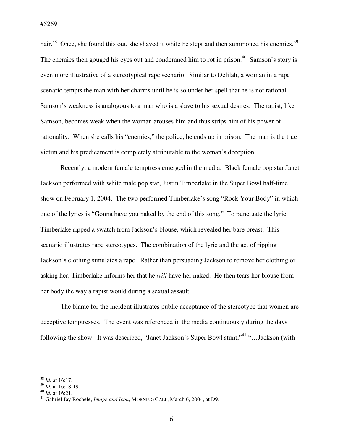hair.<sup>38</sup> Once, she found this out, she shaved it while he slept and then summoned his enemies.<sup>39</sup> The enemies then gouged his eyes out and condemned him to rot in prison.<sup>40</sup> Samson's story is even more illustrative of a stereotypical rape scenario. Similar to Delilah, a woman in a rape scenario tempts the man with her charms until he is so under her spell that he is not rational. Samson's weakness is analogous to a man who is a slave to his sexual desires. The rapist, like Samson, becomes weak when the woman arouses him and thus strips him of his power of rationality. When she calls his "enemies," the police, he ends up in prison. The man is the true victim and his predicament is completely attributable to the woman's deception.

Recently, a modern female temptress emerged in the media. Black female pop star Janet Jackson performed with white male pop star, Justin Timberlake in the Super Bowl half-time show on February 1, 2004. The two performed Timberlake's song "Rock Your Body" in which one of the lyrics is "Gonna have you naked by the end of this song." To punctuate the lyric, Timberlake ripped a swatch from Jackson's blouse, which revealed her bare breast. This scenario illustrates rape stereotypes. The combination of the lyric and the act of ripping Jackson's clothing simulates a rape. Rather than persuading Jackson to remove her clothing or asking her, Timberlake informs her that he *will* have her naked. He then tears her blouse from her body the way a rapist would during a sexual assault.

The blame for the incident illustrates public acceptance of the stereotype that women are deceptive temptresses. The event was referenced in the media continuously during the days following the show. It was described, "Janet Jackson's Super Bowl stunt,"<sup>41</sup> "…Jackson (with

 $\overline{a}$ <sup>38</sup> *Id.* at 16:17.

<sup>39</sup> *Id.* at 16:18-19.

<sup>40</sup> *Id.* at 16:21.

<sup>41</sup> Gabriel Jay Rochele, *Image and Icon*, MORNING CALL, March 6, 2004, at D9.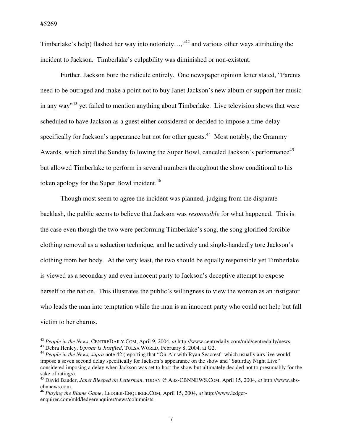$\overline{a}$ 

Timberlake's help) flashed her way into notoriety...,"<sup>42</sup> and various other ways attributing the incident to Jackson. Timberlake's culpability was diminished or non-existent.

Further, Jackson bore the ridicule entirely. One newspaper opinion letter stated, "Parents need to be outraged and make a point not to buy Janet Jackson's new album or support her music in any way<sup> $13$ </sup> yet failed to mention anything about Timberlake. Live television shows that were scheduled to have Jackson as a guest either considered or decided to impose a time-delay specifically for Jackson's appearance but not for other guests.<sup>44</sup> Most notably, the Grammy Awards, which aired the Sunday following the Super Bowl, canceled Jackson's performance<sup>45</sup> but allowed Timberlake to perform in several numbers throughout the show conditional to his token apology for the Super Bowl incident.<sup>46</sup>

Though most seem to agree the incident was planned, judging from the disparate backlash, the public seems to believe that Jackson was *responsible* for what happened. This is the case even though the two were performing Timberlake's song, the song glorified forcible clothing removal as a seduction technique, and he actively and single-handedly tore Jackson's clothing from her body. At the very least, the two should be equally responsible yet Timberlake is viewed as a secondary and even innocent party to Jackson's deceptive attempt to expose herself to the nation. This illustrates the public's willingness to view the woman as an instigator who leads the man into temptation while the man is an innocent party who could not help but fall victim to her charms.

<sup>42</sup> *People in the News*, CENTREDAILY.COM, April 9, 2004, *at* http://www.centredaily.com/mld/centredaily/news.

<sup>43</sup> Debra Henley, *Uproar is Justified*, TULSA WORLD, February 8, 2004, at G2.

<sup>44</sup> *People in the News, supra* note 42 (reporting that "On-Air with Ryan Seacrest" which usually airs live would impose a seven second delay specifically for Jackson's appearance on the show and "Saturday Night Live" considered imposing a delay when Jackson was set to host the show but ultimately decided not to presumably for the sake of ratings).

<sup>45</sup> David Bauder, *Janet Bleeped on Letterman*, TODAY @ ABS-CBNNEWS.COM, April 15, 2004, *at* http://www.abscbnnews.com.

<sup>46</sup> *Playing the Blame Game*, LEDGER-ENQUIRER.COM, April 15, 2004, *at* http://www.ledgerenquirer.com/mld/ledgerenquirer/news/columnists.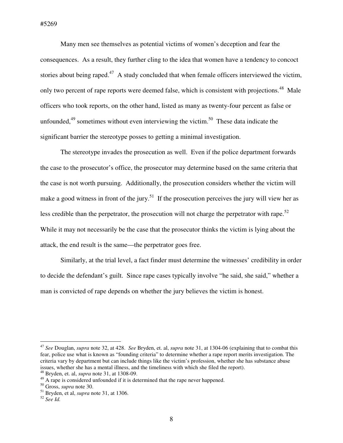#5269

Many men see themselves as potential victims of women's deception and fear the consequences. As a result, they further cling to the idea that women have a tendency to concoct stories about being raped.<sup>47</sup> A study concluded that when female officers interviewed the victim, only two percent of rape reports were deemed false, which is consistent with projections.<sup>48</sup> Male officers who took reports, on the other hand, listed as many as twenty-four percent as false or unfounded, $49$  sometimes without even interviewing the victim.<sup>50</sup> These data indicate the significant barrier the stereotype posses to getting a minimal investigation.

The stereotype invades the prosecution as well. Even if the police department forwards the case to the prosecutor's office, the prosecutor may determine based on the same criteria that the case is not worth pursuing. Additionally, the prosecution considers whether the victim will make a good witness in front of the jury.<sup>51</sup> If the prosecution perceives the jury will view her as less credible than the perpetrator, the prosecution will not charge the perpetrator with rape.<sup>52</sup> While it may not necessarily be the case that the prosecutor thinks the victim is lying about the attack, the end result is the same—the perpetrator goes free.

Similarly, at the trial level, a fact finder must determine the witnesses' credibility in order to decide the defendant's guilt. Since rape cases typically involve "he said, she said," whether a man is convicted of rape depends on whether the jury believes the victim is honest.

<sup>47</sup> *See* Douglan, *supra* note 32, at 428. *See* Bryden, et. al, *supra* note 31, at 1304-06 (explaining that to combat this fear, police use what is known as "founding criteria" to determine whether a rape report merits investigation. The criteria vary by department but can include things like the victim's profession, whether she has substance abuse issues, whether she has a mental illness, and the timeliness with which she filed the report).

<sup>48</sup> Bryden, et. al, *supra* note 31, at 1308-09.

<sup>&</sup>lt;sup>49</sup> A rape is considered unfounded if it is determined that the rape never happened.

<sup>50</sup> Gross, *supra* note 30.

<sup>51</sup> Bryden, et al, *supra* note 31, at 1306.

<sup>52</sup> *See Id.*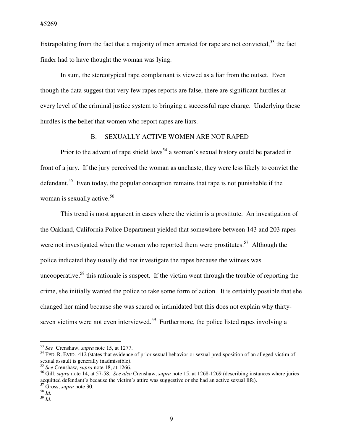Extrapolating from the fact that a majority of men arrested for rape are not convicted,<sup>53</sup> the fact finder had to have thought the woman was lying.

In sum, the stereotypical rape complainant is viewed as a liar from the outset. Even though the data suggest that very few rapes reports are false, there are significant hurdles at every level of the criminal justice system to bringing a successful rape charge. Underlying these hurdles is the belief that women who report rapes are liars.

## B. SEXUALLY ACTIVE WOMEN ARE NOT RAPED

Prior to the advent of rape shield laws<sup>54</sup> a woman's sexual history could be paraded in front of a jury. If the jury perceived the woman as unchaste, they were less likely to convict the defendant.<sup>55</sup> Even today, the popular conception remains that rape is not punishable if the woman is sexually active.<sup>56</sup>

This trend is most apparent in cases where the victim is a prostitute. An investigation of the Oakland, California Police Department yielded that somewhere between 143 and 203 rapes were not investigated when the women who reported them were prostitutes.<sup>57</sup> Although the police indicated they usually did not investigate the rapes because the witness was uncooperative,  $58$  this rationale is suspect. If the victim went through the trouble of reporting the crime, she initially wanted the police to take some form of action. It is certainly possible that she changed her mind because she was scared or intimidated but this does not explain why thirtyseven victims were not even interviewed.<sup>59</sup> Furthermore, the police listed rapes involving a

<sup>53</sup> *See* Crenshaw, *supra* note 15, at 1277.

 $<sup>54</sup>$  FED. R. EVID. 412 (states that evidence of prior sexual behavior or sexual predisposition of an alleged victim of</sup> sexual assault is generally inadmissible).

<sup>55</sup> *See* Crenshaw, *supra* note 18, at 1266.

<sup>56</sup> Gill, *supra* note 14, at 57-58. *See also* Crenshaw, *supra* note 15, at 1268-1269 (describing instances where juries acquitted defendant's because the victim's attire was suggestive or she had an active sexual life). <sup>57</sup> Gross, *supra* note 30.

 $^{58}$   $\overline{1}d$ .

<sup>59</sup> *Id.*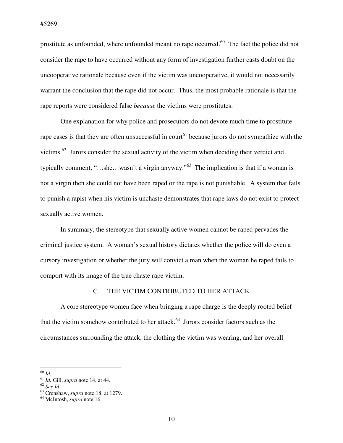prostitute as unfounded, where unfounded meant no rape occurred.<sup>60</sup> The fact the police did not consider the rape to have occurred without any form of investigation further casts doubt on the uncooperative rationale because even if the victim was uncooperative, it would not necessarily warrant the conclusion that the rape did not occur. Thus, the most probable rationale is that the rape reports were considered false *because* the victims were prostitutes.

One explanation for why police and prosecutors do not devote much time to prostitute rape cases is that they are often unsuccessful in court<sup>61</sup> because jurors do not sympathize with the victims.<sup>62</sup> Jurors consider the sexual activity of the victim when deciding their verdict and typically comment, "…she…wasn't a virgin anyway."<sup>63</sup> The implication is that if a woman is not a virgin then she could not have been raped or the rape is not punishable. A system that fails to punish a rapist when his victim is unchaste demonstrates that rape laws do not exist to protect sexually active women.

In summary, the stereotype that sexually active women cannot be raped pervades the criminal justice system. A woman's sexual history dictates whether the police will do even a cursory investigation or whether the jury will convict a man when the woman he raped fails to comport with its image of the true chaste rape victim.

## C. THE VICTIM CONTRIBUTED TO HER ATTACK

A core stereotype women face when bringing a rape charge is the deeply rooted belief that the victim somehow contributed to her attack. $64$  Jurors consider factors such as the circumstances surrounding the attack, the clothing the victim was wearing, and her overall

<sup>60</sup> *Id.* 

<sup>61</sup> *Id.* Gill, *supra* note 14, at 44.

<sup>62</sup> *See Id.* 

<sup>63</sup> Crenshaw, *supra* note 18, at 1279.

<sup>64</sup> McIntosh, *supra* note 16.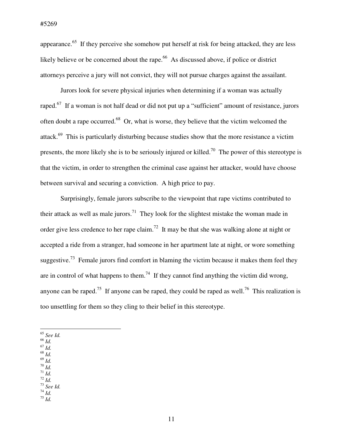appearance.<sup>65</sup> If they perceive she somehow put herself at risk for being attacked, they are less likely believe or be concerned about the rape.<sup>66</sup> As discussed above, if police or district attorneys perceive a jury will not convict, they will not pursue charges against the assailant.

Jurors look for severe physical injuries when determining if a woman was actually raped.<sup>67</sup> If a woman is not half dead or did not put up a "sufficient" amount of resistance, jurors often doubt a rape occurred.<sup>68</sup> Or, what is worse, they believe that the victim welcomed the attack.<sup>69</sup> This is particularly disturbing because studies show that the more resistance a victim presents, the more likely she is to be seriously injured or killed.<sup>70</sup> The power of this stereotype is that the victim, in order to strengthen the criminal case against her attacker, would have choose between survival and securing a conviction. A high price to pay.

Surprisingly, female jurors subscribe to the viewpoint that rape victims contributed to their attack as well as male jurors.<sup>71</sup> They look for the slightest mistake the woman made in order give less credence to her rape claim.<sup>72</sup> It may be that she was walking alone at night or accepted a ride from a stranger, had someone in her apartment late at night, or wore something suggestive.<sup>73</sup> Female jurors find comfort in blaming the victim because it makes them feel they are in control of what happens to them.<sup>74</sup> If they cannot find anything the victim did wrong, anyone can be raped.<sup>75</sup> If anyone can be raped, they could be raped as well.<sup>76</sup> This realization is too unsettling for them so they cling to their belief in this stereotype.

- $\overline{a}$ <sup>65</sup> *See Id.*
- <sup>66</sup> *Id.*
- <sup>67</sup> *Id.*
- <sup>68</sup> *Id.*
- <sup>69</sup> *Id.*  <sup>70</sup> *Id.*
- $171$  *Id.*
- <sup>72</sup> *Id.*
- <sup>73</sup> *See Id.*
- <sup>74</sup> *Id.*   $^{75}$   $\overline{1}d$ .

11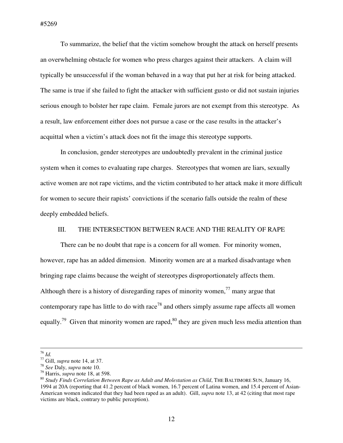To summarize, the belief that the victim somehow brought the attack on herself presents an overwhelming obstacle for women who press charges against their attackers. A claim will typically be unsuccessful if the woman behaved in a way that put her at risk for being attacked. The same is true if she failed to fight the attacker with sufficient gusto or did not sustain injuries serious enough to bolster her rape claim. Female jurors are not exempt from this stereotype. As a result, law enforcement either does not pursue a case or the case results in the attacker's acquittal when a victim's attack does not fit the image this stereotype supports.

In conclusion, gender stereotypes are undoubtedly prevalent in the criminal justice system when it comes to evaluating rape charges. Stereotypes that women are liars, sexually active women are not rape victims, and the victim contributed to her attack make it more difficult for women to secure their rapists' convictions if the scenario falls outside the realm of these deeply embedded beliefs.

### III. THE INTERSECTION BETWEEN RACE AND THE REALITY OF RAPE

There can be no doubt that rape is a concern for all women. For minority women, however, rape has an added dimension. Minority women are at a marked disadvantage when bringing rape claims because the weight of stereotypes disproportionately affects them. Although there is a history of disregarding rapes of minority women,  $77$  many argue that contemporary rape has little to do with race<sup>78</sup> and others simply assume rape affects all women equally.<sup>79</sup> Given that minority women are raped,  $80$  they are given much less media attention than

<sup>76</sup> *Id.* 

<sup>77</sup> Gill, *supra* note 14, at 37.

<sup>78</sup> *See* Daly, *supra* note 10.

<sup>79</sup> Harris, *supra* note 18, at 598.

<sup>80</sup> *Study Finds Correlation Between Rape as Adult and Molestation as Child*, THE BALTIMORE SUN, January 16, 1994 at 20A (reporting that 41.2 percent of black women, 16.7 percent of Latina women, and 15.4 percent of Asian-American women indicated that they had been raped as an adult). Gill, *supra* note 13, at 42 (citing that most rape victims are black, contrary to public perception).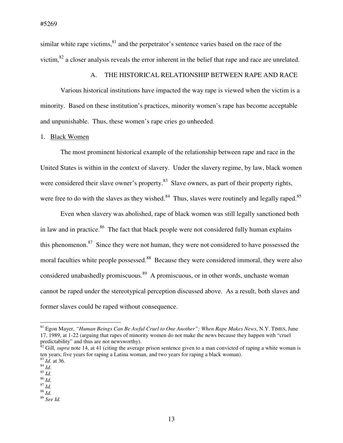similar white rape victims, $81$  and the perpetrator's sentence varies based on the race of the victim,<sup>82</sup> a closer analysis reveals the error inherent in the belief that rape and race are unrelated.

## A. THE HISTORICAL RELATIONSHIP BETWEEN RAPE AND RACE

Various historical institutions have impacted the way rape is viewed when the victim is a minority. Based on these institution's practices, minority women's rape has become acceptable and unpunishable. Thus, these women's rape cries go unheeded.

#### 1. Black Women

The most prominent historical example of the relationship between rape and race in the United States is within in the context of slavery. Under the slavery regime, by law, black women were considered their slave owner's property.<sup>83</sup> Slave owners, as part of their property rights, were free to do with the slaves as they wished.<sup>84</sup> Thus, slaves were routinely and legally raped.<sup>85</sup>

Even when slavery was abolished, rape of black women was still legally sanctioned both in law and in practice.<sup>86</sup> The fact that black people were not considered fully human explains this phenomenon.<sup>87</sup> Since they were not human, they were not considered to have possessed the moral faculties white people possessed.<sup>88</sup> Because they were considered immoral, they were also considered unabashedly promiscuous.<sup>89</sup> A promiscuous, or in other words, unchaste woman cannot be raped under the stereotypical perception discussed above. As a result, both slaves and former slaves could be raped without consequence.

 $\overline{a}$ 

<sup>86</sup> *Id.* 

<sup>81</sup> Egon Mayer, *"Human Beings Can Be Awful Cruel to One Another"; When Rape Makes News*, N.Y. TIMES, June 17, 1989, at 1-22 (arguing that rapes of minority women do not make the news because they happen with "cruel predictability" and thus are not newsworthy).

<sup>&</sup>lt;sup>82</sup> Gill, *supra* note 14, at 41 (citing the average prison sentence given to a man convicted of raping a white woman is ten years, five years for raping a Latina woman, and two years for raping a black woman). <sup>83</sup> *Id.* at 36.

<sup>84</sup> *Id.* 

<sup>85</sup> *Id.* 

 $\frac{1}{87}$  *Id.* 

 $\frac{88}{1}$   $\frac{1}{4}$ 

<sup>89</sup> *See Id.*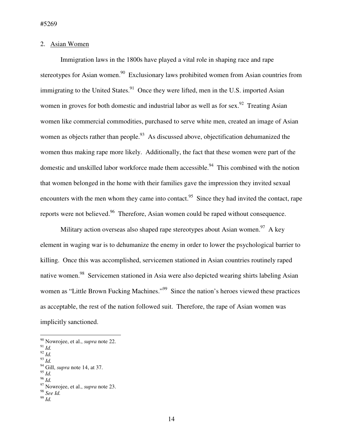## 2. Asian Women

Immigration laws in the 1800s have played a vital role in shaping race and rape stereotypes for Asian women.<sup>90</sup> Exclusionary laws prohibited women from Asian countries from immigrating to the United States. $91$  Once they were lifted, men in the U.S. imported Asian women in groves for both domestic and industrial labor as well as for sex.<sup>92</sup> Treating Asian women like commercial commodities, purchased to serve white men, created an image of Asian women as objects rather than people.<sup>93</sup> As discussed above, objectification dehumanized the women thus making rape more likely. Additionally, the fact that these women were part of the domestic and unskilled labor workforce made them accessible.<sup>94</sup> This combined with the notion that women belonged in the home with their families gave the impression they invited sexual encounters with the men whom they came into contact.<sup>95</sup> Since they had invited the contact, rape reports were not believed.<sup>96</sup> Therefore, Asian women could be raped without consequence.

Military action overseas also shaped rape stereotypes about Asian women.<sup>97</sup> A key element in waging war is to dehumanize the enemy in order to lower the psychological barrier to killing. Once this was accomplished, servicemen stationed in Asian countries routinely raped native women.<sup>98</sup> Servicemen stationed in Asia were also depicted wearing shirts labeling Asian women as "Little Brown Fucking Machines."<sup>99</sup> Since the nation's heroes viewed these practices as acceptable, the rest of the nation followed suit. Therefore, the rape of Asian women was implicitly sanctioned.

<sup>91</sup> *Id.* 

 $\overline{a}$ 

- $^{92}$  *Id.* <sup>93</sup> *Id.*
- <sup>94</sup> Gill, *supra* note 14, at 37.
- <sup>95</sup> *Id.*
- <sup>96</sup> *Id.*

<sup>98</sup> *See Id.* 

<sup>90</sup> Nowrojee, et al., *supra* note 22.

<sup>97</sup> Nowrojee, et al., *supra* note 23.

<sup>99</sup> *Id.*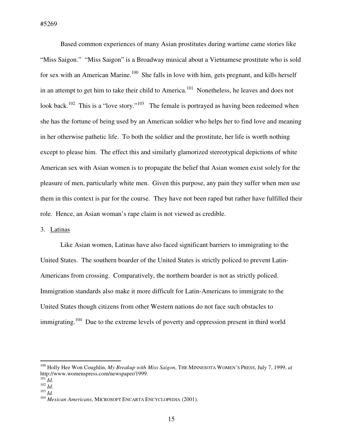#5269

Based common experiences of many Asian prostitutes during wartime came stories like "Miss Saigon." "Miss Saigon" is a Broadway musical about a Vietnamese prostitute who is sold for sex with an American Marine.<sup>100</sup> She falls in love with him, gets pregnant, and kills herself in an attempt to get him to take their child to America.<sup>101</sup> Nonetheless, he leaves and does not look back.<sup>102</sup> This is a "love story."<sup>103</sup> The female is portrayed as having been redeemed when she has the fortune of being used by an American soldier who helps her to find love and meaning in her otherwise pathetic life. To both the soldier and the prostitute, her life is worth nothing except to please him. The effect this and similarly glamorized stereotypical depictions of white American sex with Asian women is to propagate the belief that Asian women exist solely for the pleasure of men, particularly white men. Given this purpose, any pain they suffer when men use them in this context is par for the course. They have not been raped but rather have fulfilled their role. Hence, an Asian woman's rape claim is not viewed as credible.

## 3. Latinas

Like Asian women, Latinas have also faced significant barriers to immigrating to the United States. The southern boarder of the United States is strictly policed to prevent Latin-Americans from crossing. Comparatively, the northern boarder is not as strictly policed. Immigration standards also make it more difficult for Latin-Americans to immigrate to the United States though citizens from other Western nations do not face such obstacles to immigrating.<sup>104</sup> Due to the extreme levels of poverty and oppression present in third world

<sup>100</sup> Holly Hee Won Coughlin, *My Breakup with Miss Saigon*, THE MINNESOTA WOMEN'S PRESS, July 7, 1999, *at* http://www.womenspress.com/newspaper/1999.

 $^{101}$ *Id.* 

<sup>102</sup> *Id.* 

<sup>103</sup> *Id.* 

<sup>104</sup> *Mexican Americans*, MICROSOFT ENCARTA ENCYCLOPEDIA (2001).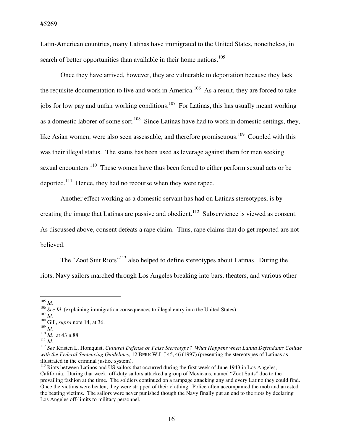Latin-American countries, many Latinas have immigrated to the United States, nonetheless, in search of better opportunities than available in their home nations.<sup>105</sup>

Once they have arrived, however, they are vulnerable to deportation because they lack the requisite documentation to live and work in America.<sup>106</sup> As a result, they are forced to take jobs for low pay and unfair working conditions.<sup>107</sup> For Latinas, this has usually meant working as a domestic laborer of some sort.<sup>108</sup> Since Latinas have had to work in domestic settings, they, like Asian women, were also seen assessable, and therefore promiscuous.<sup>109</sup> Coupled with this was their illegal status. The status has been used as leverage against them for men seeking sexual encounters.<sup>110</sup> These women have thus been forced to either perform sexual acts or be deported.<sup>111</sup> Hence, they had no recourse when they were raped.

 Another effect working as a domestic servant has had on Latinas stereotypes, is by creating the image that Latinas are passive and obedient.<sup>112</sup> Subservience is viewed as consent. As discussed above, consent defeats a rape claim. Thus, rape claims that do get reported are not believed.

The "Zoot Suit Riots"<sup>113</sup> also helped to define stereotypes about Latinas. During the riots, Navy sailors marched through Los Angeles breaking into bars, theaters, and various other

 $\overline{a}$  $^{105}$  *Id.* 

<sup>111</sup> *Id.* 

<sup>&</sup>lt;sup>106</sup> *See Id.* (explaining immigration consequences to illegal entry into the United States).

<sup>107</sup> *Id.*

<sup>108</sup> Gill, *supra* note 14, at 36.

<sup>109</sup> *Id.* 

<sup>110</sup> *Id.* at 43 n.88.

<sup>112</sup> *See* Kristen L. Homquist, *Cultural Defense or False Stereotype? What Happens when Latina Defendants Collide with the Federal Sentencing Guidelines*, 12 BERK W.L.J 45, 46 (1997) (presenting the stereotypes of Latinas as illustrated in the criminal justice system).

<sup>&</sup>lt;sup>113</sup> Riots between Latinos and US sailors that occurred during the first week of June 1943 in Los Angeles, California. During that week, off-duty sailors attacked a group of Mexicans, named "Zoot Suits" due to the prevailing fashion at the time. The soldiers continued on a rampage attacking any and every Latino they could find. Once the victims were beaten, they were stripped of their clothing. Police often accompanied the mob and arrested the beating victims. The sailors were never punished though the Navy finally put an end to the riots by declaring Los Angeles off-limits to military personnel.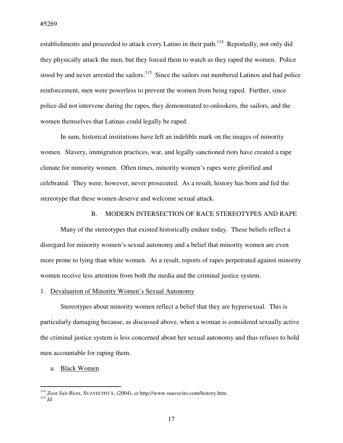establishments and proceeded to attack every Latino in their path.<sup>114</sup> Reportedly, not only did they physically attack the men, but they forced them to watch as they raped the women. Police stood by and never arrested the sailors.<sup>115</sup> Since the sailors out numbered Latinos and had police reinforcement, men were powerless to prevent the women from being raped. Further, since police did not intervene during the rapes, they demonstrated to onlookers, the sailors, and the women themselves that Latinas could legally be raped.

 In sum, historical institutions have left an indelible mark on the images of minority women. Slavery, immigration practices, war, and legally sanctioned riots have created a rape climate for minority women. Often times, minority women's rapes were glorified and celebrated. They were, however, never prosecuted. As a result, history has born and fed the stereotype that these women deserve and welcome sexual attack.

## B. MODERN INTERSECTION OF RACE STEREOTYPES AND RAPE

Many of the stereotypes that existed historically endure today. These beliefs reflect a disregard for minority women's sexual autonomy and a belief that minority women are even more prone to lying than white women. As a result, reports of rapes perpetrated against minority women receive less attention from both the media and the criminal justice system.

#### 1. Devaluation of Minority Women's Sexual Autonomy

Stereotypes about minority women reflect a belief that they are hypersexual. This is particularly damaging because, as discussed above, when a woman is considered sexually active the criminal justice system is less concerned about her sexual autonomy and thus refuses to hold men accountable for raping them.

#### a. Black Women

<sup>114</sup> *Zoot Suit Riots*, SUAVECITO'S, (2004), *at* http://www.suavecito.com/history.htm.  $^{115}$  *Id.*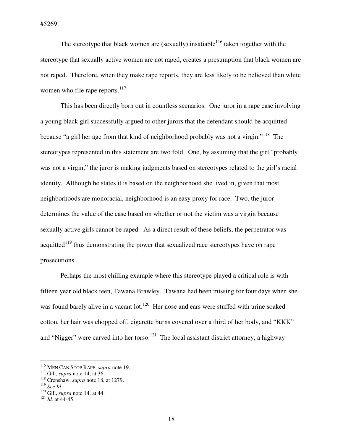The stereotype that black women are (sexually) insatiable<sup>116</sup> taken together with the stereotype that sexually active women are not raped, creates a presumption that black women are not raped. Therefore, when they make rape reports, they are less likely to be believed than white women who file rape reports. $117$ 

This has been directly born out in countless scenarios. One juror in a rape case involving a young black girl successfully argued to other jurors that the defendant should be acquitted because "a girl her age from that kind of neighborhood probably was not a virgin."<sup>118</sup> The stereotypes represented in this statement are two fold. One, by assuming that the girl "probably was not a virgin," the juror is making judgments based on stereotypes related to the girl's racial identity. Although he states it is based on the neighborhood she lived in, given that most neighborhoods are monoracial, neighborhood is an easy proxy for race. Two, the juror determines the value of the case based on whether or not the victim was a virgin because sexually active girls cannot be raped. As a direct result of these beliefs, the perpetrator was acquitted<sup>119</sup> thus demonstrating the power that sexualized race stereotypes have on rape prosecutions.

Perhaps the most chilling example where this stereotype played a critical role is with fifteen year old black teen, Tawana Brawley. Tawana had been missing for four days when she was found barely alive in a vacant lot.<sup>120</sup> Her nose and ears were stuffed with urine soaked cotton, her hair was chopped off, cigarette burns covered over a third of her body, and "KKK" and "Nigger" were carved into her torso.<sup>121</sup> The local assistant district attorney, a highway

<sup>116</sup> MEN CAN STOP RAPE, *supra* note 19.

<sup>117</sup> Gill, *supra* note 14, at 36.

<sup>118</sup> Crenshaw, *supra* note 18, at 1279.

<sup>119</sup> *See Id.* 

<sup>120</sup> Gill, *supra* note 14, at 44.

 $121$  *Id.* at  $44-45$ .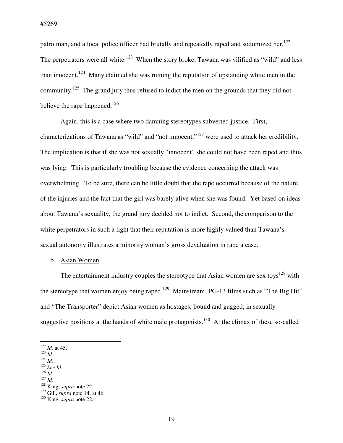patrolman, and a local police officer had brutally and repeatedly raped and sodomized her.<sup>122</sup> The perpetrators were all white.<sup>123</sup> When the story broke, Tawana was vilified as "wild" and less than innocent.<sup>124</sup> Many claimed she was ruining the reputation of upstanding white men in the community.<sup>125</sup> The grand jury thus refused to indict the men on the grounds that they did not believe the rape happened.<sup>126</sup>

Again, this is a case where two damning stereotypes subverted justice. First, characterizations of Tawana as "wild" and "not innocent,"<sup>127</sup> were used to attack her credibility. The implication is that if she was not sexually "innocent" she could not have been raped and thus was lying. This is particularly troubling because the evidence concerning the attack was overwhelming. To be sure, there can be little doubt that the rape occurred because of the nature of the injuries and the fact that the girl was barely alive when she was found. Yet based on ideas about Tawana's sexuality, the grand jury decided not to indict. Second, the comparison to the white perpetrators in such a light that their reputation is more highly valued than Tawana's sexual autonomy illustrates a minority woman's gross devaluation in rape a case.

## b. Asian Women

The entertainment industry couples the stereotype that Asian women are sex toys<sup>128</sup> with the stereotype that women enjoy being raped.<sup>129</sup> Mainstream, PG-13 films such as "The Big Hit" and "The Transporter" depict Asian women as hostages, bound and gagged, in sexually suggestive positions at the hands of white male protagonists.<sup>130</sup> At the climax of these so-called

- <sup>125</sup> *See Id.*   $126$  *Id.*
- <sup>127</sup> *Id.*

 $122$  *Id.* at 45.

<sup>123</sup> *Id.*

<sup>124</sup> *Id.* 

<sup>128</sup> King, *supra* note 22.

<sup>129</sup> Gill, *supra* note 14, at 46.

<sup>130</sup> King, *supra* note 22.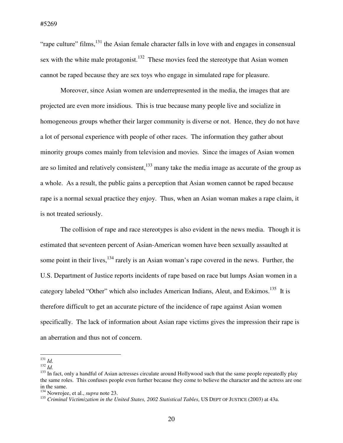"rape culture" films,  $^{131}$  the Asian female character falls in love with and engages in consensual sex with the white male protagonist.<sup>132</sup> These movies feed the stereotype that Asian women cannot be raped because they are sex toys who engage in simulated rape for pleasure.

Moreover, since Asian women are underrepresented in the media, the images that are projected are even more insidious. This is true because many people live and socialize in homogeneous groups whether their larger community is diverse or not. Hence, they do not have a lot of personal experience with people of other races. The information they gather about minority groups comes mainly from television and movies. Since the images of Asian women are so limited and relatively consistent, $133$  many take the media image as accurate of the group as a whole. As a result, the public gains a perception that Asian women cannot be raped because rape is a normal sexual practice they enjoy. Thus, when an Asian woman makes a rape claim, it is not treated seriously.

The collision of rape and race stereotypes is also evident in the news media. Though it is estimated that seventeen percent of Asian-American women have been sexually assaulted at some point in their lives,<sup>134</sup> rarely is an Asian woman's rape covered in the news. Further, the U.S. Department of Justice reports incidents of rape based on race but lumps Asian women in a category labeled "Other" which also includes American Indians, Aleut, and Eskimos.<sup>135</sup> It is therefore difficult to get an accurate picture of the incidence of rape against Asian women specifically. The lack of information about Asian rape victims gives the impression their rape is an aberration and thus not of concern.

<sup>131</sup> *Id.* 

 $^{132}$  *Id.* 

 $133$  In fact, only a handful of Asian actresses circulate around Hollywood such that the same people repeatedly play the same roles. This confuses people even further because they come to believe the character and the actress are one in the same.

<sup>134</sup> Nowrojee, et al., *supra* note 23.

<sup>&</sup>lt;sup>135</sup> Criminal Victimization in the United States, 2002 Statistical Tables, US DEPT OF JUSTICE (2003) at 43a.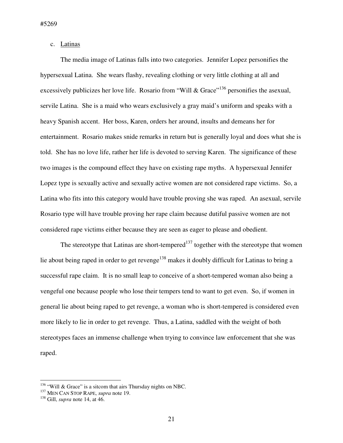c. Latinas

The media image of Latinas falls into two categories. Jennifer Lopez personifies the hypersexual Latina. She wears flashy, revealing clothing or very little clothing at all and excessively publicizes her love life. Rosario from "Will & Grace"<sup>136</sup> personifies the asexual, servile Latina. She is a maid who wears exclusively a gray maid's uniform and speaks with a heavy Spanish accent. Her boss, Karen, orders her around, insults and demeans her for entertainment. Rosario makes snide remarks in return but is generally loyal and does what she is told. She has no love life, rather her life is devoted to serving Karen. The significance of these two images is the compound effect they have on existing rape myths. A hypersexual Jennifer Lopez type is sexually active and sexually active women are not considered rape victims. So, a Latina who fits into this category would have trouble proving she was raped. An asexual, servile Rosario type will have trouble proving her rape claim because dutiful passive women are not considered rape victims either because they are seen as eager to please and obedient.

The stereotype that Latinas are short-tempered<sup>137</sup> together with the stereotype that women lie about being raped in order to get revenge<sup>138</sup> makes it doubly difficult for Latinas to bring a successful rape claim. It is no small leap to conceive of a short-tempered woman also being a vengeful one because people who lose their tempers tend to want to get even. So, if women in general lie about being raped to get revenge, a woman who is short-tempered is considered even more likely to lie in order to get revenge. Thus, a Latina, saddled with the weight of both stereotypes faces an immense challenge when trying to convince law enforcement that she was raped.

 $136$  "Will & Grace" is a sitcom that airs Thursday nights on NBC.

<sup>137</sup> MEN CAN STOP RAPE, *supra* note 19.

<sup>138</sup> Gill, *supra* note 14, at 46.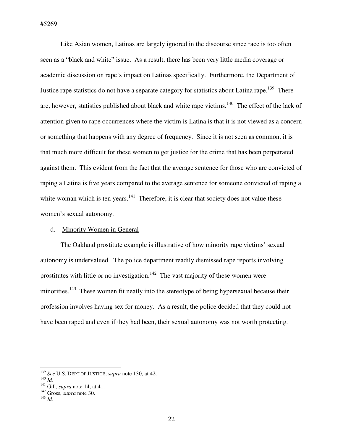Like Asian women, Latinas are largely ignored in the discourse since race is too often seen as a "black and white" issue. As a result, there has been very little media coverage or academic discussion on rape's impact on Latinas specifically. Furthermore, the Department of Justice rape statistics do not have a separate category for statistics about Latina rape.<sup>139</sup> There are, however, statistics published about black and white rape victims.<sup>140</sup> The effect of the lack of attention given to rape occurrences where the victim is Latina is that it is not viewed as a concern or something that happens with any degree of frequency. Since it is not seen as common, it is that much more difficult for these women to get justice for the crime that has been perpetrated against them. This evident from the fact that the average sentence for those who are convicted of raping a Latina is five years compared to the average sentence for someone convicted of raping a white woman which is ten years. $141$  Therefore, it is clear that society does not value these women's sexual autonomy.

### d. Minority Women in General

 The Oakland prostitute example is illustrative of how minority rape victims' sexual autonomy is undervalued. The police department readily dismissed rape reports involving prostitutes with little or no investigation.<sup>142</sup> The vast majority of these women were minorities.<sup>143</sup> These women fit neatly into the stereotype of being hypersexual because their profession involves having sex for money. As a result, the police decided that they could not have been raped and even if they had been, their sexual autonomy was not worth protecting.

<sup>139</sup> *See* U.S. DEPT OF JUSTICE, *supra* note 130, at 42.

<sup>140</sup> *Id.* 

<sup>141</sup> Gill, *supra* note 14, at 41.

<sup>142</sup> Gross, *supra* note 30.

<sup>143</sup> *Id.*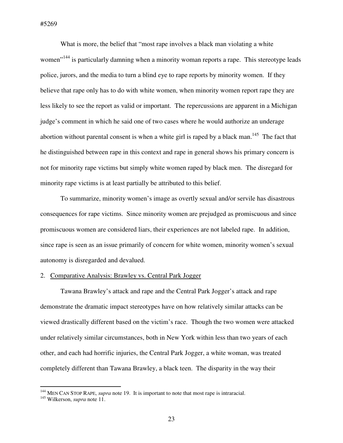What is more, the belief that "most rape involves a black man violating a white women<sup>"144</sup> is particularly damning when a minority woman reports a rape. This stereotype leads police, jurors, and the media to turn a blind eye to rape reports by minority women. If they believe that rape only has to do with white women, when minority women report rape they are less likely to see the report as valid or important. The repercussions are apparent in a Michigan judge's comment in which he said one of two cases where he would authorize an underage abortion without parental consent is when a white girl is raped by a black man.<sup>145</sup> The fact that he distinguished between rape in this context and rape in general shows his primary concern is not for minority rape victims but simply white women raped by black men. The disregard for minority rape victims is at least partially be attributed to this belief.

 To summarize, minority women's image as overtly sexual and/or servile has disastrous consequences for rape victims. Since minority women are prejudged as promiscuous and since promiscuous women are considered liars, their experiences are not labeled rape. In addition, since rape is seen as an issue primarily of concern for white women, minority women's sexual autonomy is disregarded and devalued.

#### 2. Comparative Analysis: Brawley vs. Central Park Jogger

Tawana Brawley's attack and rape and the Central Park Jogger's attack and rape demonstrate the dramatic impact stereotypes have on how relatively similar attacks can be viewed drastically different based on the victim's race. Though the two women were attacked under relatively similar circumstances, both in New York within less than two years of each other, and each had horrific injuries, the Central Park Jogger, a white woman, was treated completely different than Tawana Brawley, a black teen. The disparity in the way their

<sup>&</sup>lt;sup>144</sup> MEN CAN STOP RAPE, *supra* note 19. It is important to note that most rape is intraracial.

<sup>145</sup> Wilkerson, *supra* note 11.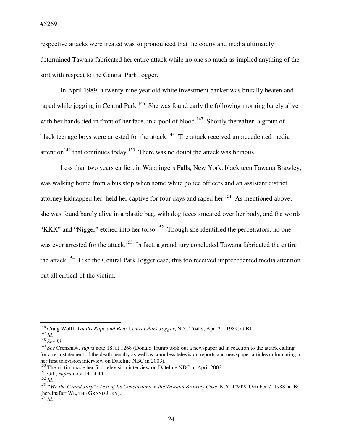respective attacks were treated was so pronounced that the courts and media ultimately determined Tawana fabricated her entire attack while no one so much as implied anything of the sort with respect to the Central Park Jogger.

In April 1989, a twenty-nine year old white investment banker was brutally beaten and raped while jogging in Central Park.<sup>146</sup> She was found early the following morning barely alive with her hands tied in front of her face, in a pool of blood.<sup>147</sup> Shortly thereafter, a group of black teenage boys were arrested for the attack.<sup>148</sup> The attack received unprecedented media attention<sup>149</sup> that continues today.<sup>150</sup> There was no doubt the attack was heinous.

Less than two years earlier, in Wappingers Falls, New York, black teen Tawana Brawley, was walking home from a bus stop when some white police officers and an assistant district attorney kidnapped her, held her captive for four days and raped her.<sup>151</sup> As mentioned above, she was found barely alive in a plastic bag, with dog feces smeared over her body, and the words "KKK" and "Nigger" etched into her torso.<sup>152</sup> Though she identified the perpetrators, no one was ever arrested for the attack.<sup>153</sup> In fact, a grand jury concluded Tawana fabricated the entire the attack.<sup>154</sup> Like the Central Park Jogger case, this too received unprecedented media attention but all critical of the victim.

<sup>146</sup> Craig Wolff, *Youths Rape and Beat Central Park Jogger*, N.Y. TIMES, Apr. 21, 1989, at B1.

<sup>147</sup> *Id.*  <sup>148</sup> *See Id.* 

<sup>149</sup> *See* Crenshaw, *supra* note 18, at 1268 (Donald Trump took out a newspaper ad in reaction to the attack calling for a re-instatement of the death penalty as well as countless television reports and newspaper articles culminating in her first television interview on Dateline NBC in 2003).

<sup>&</sup>lt;sup>150</sup> The victim made her first television interview on Dateline NBC in April 2003.

<sup>151</sup> Gill, *supra* note 14, at 44.

<sup>152</sup> *Id.* 

<sup>153</sup> *"We the Grand Jury": Text of Its Conclusions in the Tawana Brawley Case*, N.Y. TIMES, October 7, 1988, at B4 [hereinafter WE, THE GRAND JURY].

 $^{154}$  *Id.*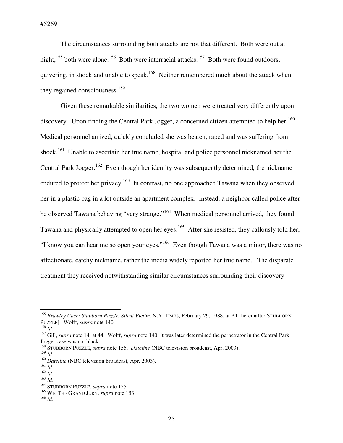The circumstances surrounding both attacks are not that different. Both were out at night,<sup>155</sup> both were alone.<sup>156</sup> Both were interracial attacks.<sup>157</sup> Both were found outdoors, quivering, in shock and unable to speak.<sup>158</sup> Neither remembered much about the attack when they regained consciousness.<sup>159</sup>

Given these remarkable similarities, the two women were treated very differently upon discovery. Upon finding the Central Park Jogger, a concerned citizen attempted to help her.<sup>160</sup> Medical personnel arrived, quickly concluded she was beaten, raped and was suffering from shock.<sup>161</sup> Unable to ascertain her true name, hospital and police personnel nicknamed her the Central Park Jogger.<sup>162</sup> Even though her identity was subsequently determined, the nickname endured to protect her privacy.<sup>163</sup> In contrast, no one approached Tawana when they observed her in a plastic bag in a lot outside an apartment complex. Instead, a neighbor called police after he observed Tawana behaving "very strange."<sup>164</sup> When medical personnel arrived, they found Tawana and physically attempted to open her eyes.<sup>165</sup> After she resisted, they callously told her, "I know you can hear me so open your eyes."<sup>166</sup> Even though Tawana was a minor, there was no affectionate, catchy nickname, rather the media widely reported her true name. The disparate treatment they received notwithstanding similar circumstances surrounding their discovery

 $\overline{a}$ 

<sup>159</sup> *Id.* 

<sup>155</sup> *Brawley Case: Stubborn Puzzle, Silent Victim*, N.Y. TIMES, February 29, 1988, at A1 [hereinafter STUBBORN PUZZLE]. Wolff, *supra* note 140.

<sup>156</sup> *Id.* 

<sup>&</sup>lt;sup>157</sup> Gill, *supra* note 14, at 44. Wolff, *supra* note 140. It was later determined the perpetrator in the Central Park Jogger case was not black.

<sup>158</sup> STUBBORN PUZZLE, *supra* note 155. *Dateline* (NBC television broadcast, Apr. 2003).

<sup>&</sup>lt;sup>160</sup> Dateline (NBC television broadcast, Apr. 2003).

 $^{161}\,$   $ld.$ 

<sup>162</sup> *Id.* 

<sup>163</sup> *Id.* 

<sup>164</sup> STUBBORN PUZZLE, *supra* note 155.

<sup>&</sup>lt;sup>165</sup> WE, THE GRAND JURY, *supra* note 153.

<sup>166</sup> *Id.*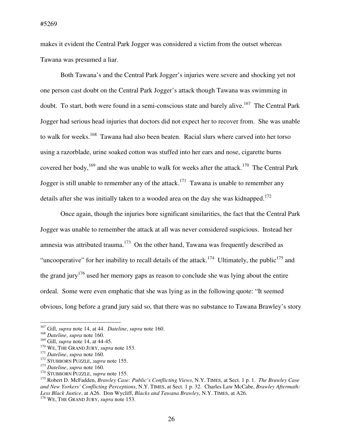makes it evident the Central Park Jogger was considered a victim from the outset whereas Tawana was presumed a liar.

Both Tawana's and the Central Park Jogger's injuries were severe and shocking yet not one person cast doubt on the Central Park Jogger's attack though Tawana was swimming in doubt. To start, both were found in a semi-conscious state and barely alive.<sup>167</sup> The Central Park Jogger had serious head injuries that doctors did not expect her to recover from. She was unable to walk for weeks.<sup>168</sup> Tawana had also been beaten. Racial slurs where carved into her torso using a razorblade, urine soaked cotton was stuffed into her ears and nose, cigarette burns covered her body,<sup>169</sup> and she was unable to walk for weeks after the attack.<sup>170</sup> The Central Park Jogger is still unable to remember any of the attack.<sup>171</sup> Tawana is unable to remember any details after she was initially taken to a wooded area on the day she was kidnapped.<sup>172</sup>

Once again, though the injuries bore significant similarities, the fact that the Central Park Jogger was unable to remember the attack at all was never considered suspicious. Instead her amnesia was attributed trauma.<sup>173</sup> On the other hand, Tawana was frequently described as "uncooperative" for her inability to recall details of the attack.<sup>174</sup> Ultimately, the public<sup>175</sup> and the grand jury<sup>176</sup> used her memory gaps as reason to conclude she was lying about the entire ordeal. Some were even emphatic that she was lying as in the following quote: "It seemed obvious, long before a grand jury said so, that there was no substance to Tawana Brawley's story

<sup>167</sup> Gill, *supra* note 14, at 44. *Dateline*, *supra* note 160.

<sup>168</sup> *Dateline*, *supra* note 160.

<sup>169</sup> Gill, *supra* note 14, at 44-45.

<sup>&</sup>lt;sup>170</sup> WE, THE GRAND JURY, *supra* note 153.

<sup>171</sup> *Dateline*, *supra* note 160.

<sup>172</sup> STUBBORN PUZZLE, *supra* note 155.

<sup>173</sup> *Dateline*, *supra* note 160.

<sup>174</sup> STUBBORN PUZZLE, *supra* note 155.

<sup>175</sup> Robert D. McFadden, *Brawley Case: Public's Conflicting Views*, N.Y. TIMES, at Sect. 1 p. 1. *The Brawley Case and New Yorkers' Conflicting Perceptions*, N.Y. TIMES, at Sect. 1 p. 32. Charles Law McCabe, *Brawley Aftermath: Less Black Justice*, at A26. Don Wycliff, *Blacks and Tawana Brawley*, N.Y. TIMES, at A26.

<sup>&</sup>lt;sup>176</sup> WE, THE GRAND JURY, *supra* note 153.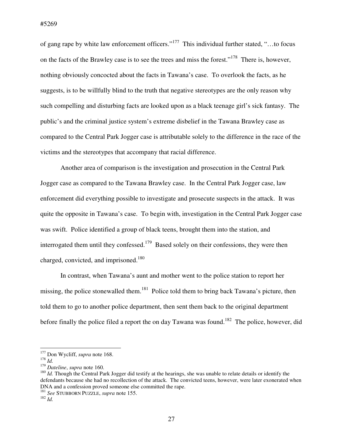of gang rape by white law enforcement officers."<sup>177</sup> This individual further stated, "…to focus on the facts of the Brawley case is to see the trees and miss the forest."<sup>178</sup> There is, however, nothing obviously concocted about the facts in Tawana's case. To overlook the facts, as he suggests, is to be willfully blind to the truth that negative stereotypes are the only reason why such compelling and disturbing facts are looked upon as a black teenage girl's sick fantasy. The public's and the criminal justice system's extreme disbelief in the Tawana Brawley case as compared to the Central Park Jogger case is attributable solely to the difference in the race of the victims and the stereotypes that accompany that racial difference.

Another area of comparison is the investigation and prosecution in the Central Park Jogger case as compared to the Tawana Brawley case. In the Central Park Jogger case, law enforcement did everything possible to investigate and prosecute suspects in the attack. It was quite the opposite in Tawana's case. To begin with, investigation in the Central Park Jogger case was swift. Police identified a group of black teens, brought them into the station, and interrogated them until they confessed.<sup>179</sup> Based solely on their confessions, they were then charged, convicted, and imprisoned.<sup>180</sup>

In contrast, when Tawana's aunt and mother went to the police station to report her missing, the police stonewalled them.<sup>181</sup> Police told them to bring back Tawana's picture, then told them to go to another police department, then sent them back to the original department before finally the police filed a report the on day Tawana was found.<sup>182</sup> The police, however, did

<sup>&</sup>lt;sup>177</sup> Don Wycliff, *supra* note 168.

 $178$  *Id.* 

<sup>179</sup> *Dateline*, *supra* note 160.

<sup>&</sup>lt;sup>180</sup> *Id.* Though the Central Park Jogger did testify at the hearings, she was unable to relate details or identify the defendants because she had no recollection of the attack. The convicted teens, however, were later exonerated when DNA and a confession proved someone else committed the rape.

<sup>181</sup> *See* STUBBORN PUZZLE, *supra* note 155.

<sup>182</sup> *Id.*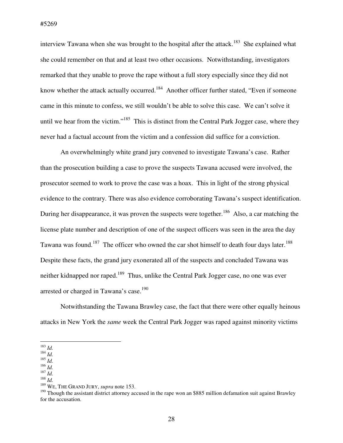interview Tawana when she was brought to the hospital after the attack.<sup>183</sup> She explained what she could remember on that and at least two other occasions. Notwithstanding, investigators remarked that they unable to prove the rape without a full story especially since they did not know whether the attack actually occurred.<sup>184</sup> Another officer further stated, "Even if someone came in this minute to confess, we still wouldn't be able to solve this case. We can't solve it until we hear from the victim."<sup>185</sup> This is distinct from the Central Park Jogger case, where they never had a factual account from the victim and a confession did suffice for a conviction.

An overwhelmingly white grand jury convened to investigate Tawana's case. Rather than the prosecution building a case to prove the suspects Tawana accused were involved, the prosecutor seemed to work to prove the case was a hoax. This in light of the strong physical evidence to the contrary. There was also evidence corroborating Tawana's suspect identification. During her disappearance, it was proven the suspects were together.<sup>186</sup> Also, a car matching the license plate number and description of one of the suspect officers was seen in the area the day Tawana was found.<sup>187</sup> The officer who owned the car shot himself to death four days later.<sup>188</sup> Despite these facts, the grand jury exonerated all of the suspects and concluded Tawana was neither kidnapped nor raped.<sup>189</sup> Thus, unlike the Central Park Jogger case, no one was ever arrested or charged in Tawana's case.<sup>190</sup>

Notwithstanding the Tawana Brawley case, the fact that there were other equally heinous attacks in New York the *same* week the Central Park Jogger was raped against minority victims

 $\overline{a}$ <sup>183</sup> *Id.* 

<sup>186</sup> *Id.*   $187$  *Id.* 

<sup>184</sup> *Id.* 

<sup>185</sup> *Id.* 

<sup>188</sup> *Id.* 

<sup>189</sup> WE, THE GRAND JURY, *supra* note 153.

<sup>&</sup>lt;sup>190</sup> Though the assistant district attorney accused in the rape won an \$885 million defamation suit against Brawley for the accusation.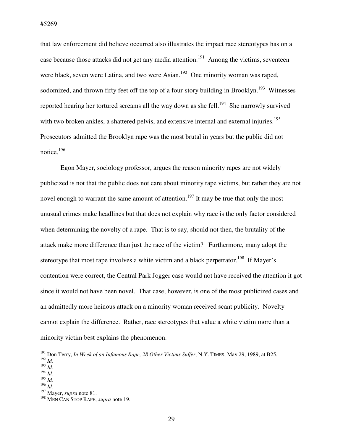#5269

that law enforcement did believe occurred also illustrates the impact race stereotypes has on a case because those attacks did not get any media attention.<sup>191</sup> Among the victims, seventeen were black, seven were Latina, and two were Asian.<sup>192</sup> One minority woman was raped, sodomized, and thrown fifty feet off the top of a four-story building in Brooklyn.<sup>193</sup> Witnesses reported hearing her tortured screams all the way down as she fell.<sup>194</sup> She narrowly survived with two broken ankles, a shattered pelvis, and extensive internal and external injuries.<sup>195</sup> Prosecutors admitted the Brooklyn rape was the most brutal in years but the public did not notice.<sup>196</sup>

Egon Mayer, sociology professor, argues the reason minority rapes are not widely publicized is not that the public does not care about minority rape victims, but rather they are not novel enough to warrant the same amount of attention.<sup>197</sup> It may be true that only the most unusual crimes make headlines but that does not explain why race is the only factor considered when determining the novelty of a rape. That is to say, should not then, the brutality of the attack make more difference than just the race of the victim? Furthermore, many adopt the stereotype that most rape involves a white victim and a black perpetrator.<sup>198</sup> If Mayer's contention were correct, the Central Park Jogger case would not have received the attention it got since it would not have been novel. That case, however, is one of the most publicized cases and an admittedly more heinous attack on a minority woman received scant publicity. Novelty cannot explain the difference. Rather, race stereotypes that value a white victim more than a minority victim best explains the phenomenon.

 $\overline{a}$ 

<sup>195</sup> *Id.* 

<sup>191</sup> Don Terry, *In Week of an Infamous Rape, 28 Other Victims Suffer*, N.Y. TIMES, May 29, 1989, at B25.

<sup>192</sup> *Id.* 

<sup>193</sup> *Id.*  <sup>194</sup> *Id.* 

<sup>196</sup> *Id.* 

<sup>197</sup> Mayer, *supra* note 81.

<sup>198</sup> MEN CAN STOP RAPE, *supra* note 19.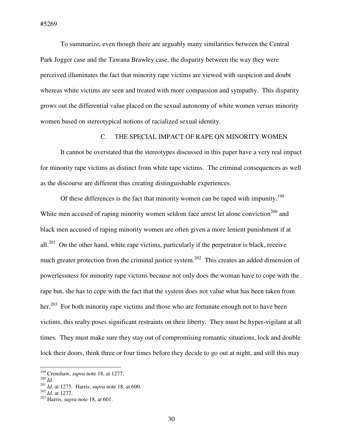To summarize, even though there are arguably many similarities between the Central Park Jogger case and the Tawana Brawley case, the disparity between the way they were perceived illuminates the fact that minority rape victims are viewed with suspicion and doubt whereas white victims are seen and treated with more compassion and sympathy. This disparity grows out the differential value placed on the sexual autonomy of white women versus minority women based on stereotypical notions of racialized sexual identity.

## C. THE SPECIAL IMPACT OF RAPE ON MINORITY WOMEN

It cannot be overstated that the stereotypes discussed in this paper have a very real impact for minority rape victims as distinct from white rape victims. The criminal consequences as well as the discourse are different thus creating distinguishable experiences.

Of these differences is the fact that minority women can be raped with impunity.<sup>199</sup> White men accused of raping minority women seldom face arrest let alone conviction<sup>200</sup> and black men accused of raping minority women are often given a more lenient punishment if at all.<sup>201</sup> On the other hand, white rape victims, particularly if the perpetrator is black, receive much greater protection from the criminal justice system.<sup>202</sup> This creates an added dimension of powerlessness for minority rape victims because not only does the woman have to cope with the rape but, she has to cope with the fact that the system does not value what has been taken from her.<sup>203</sup> For both minority rape victims and those who are fortunate enough not to have been victims, this realty poses significant restraints on their liberty. They must be hyper-vigilant at all times. They must make sure they stay out of compromising romantic situations, lock and double lock their doors, think three or four times before they decide to go out at night, and still this may

<sup>199</sup> Crenshaw, *supra* note 18, at 1277.

<sup>200</sup> *Id.*

<sup>201</sup> *Id.* at 1275. Harris, *supra* note 18, at 600.

 $^{202}$  *Id.* at 1277.

<sup>203</sup> Harris, *supra* note 18, at 601.